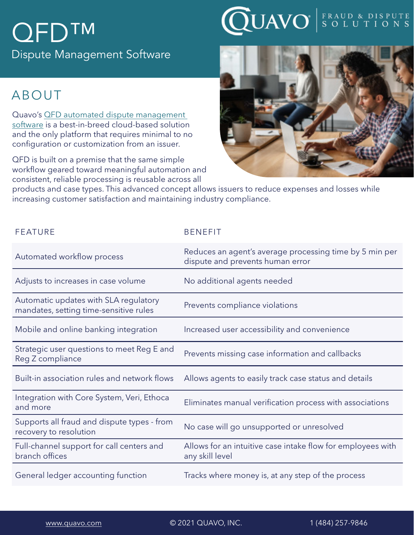# QFD™

Dispute Management Software

### ABOUT

Quavo's [QFD automated dispute management](https://www.quavo.com/quantum-fraud-and-disputes/?utm_medium=pop&utm_source=productdatasheet&utm_campaign=qfddatasheet_june2021&utm_content=qfdpage&utm_term=automated+dispute+management+software
)  [software](https://www.quavo.com/quantum-fraud-and-disputes/?utm_medium=pop&utm_source=productdatasheet&utm_campaign=qfddatasheet_june2021&utm_content=qfdpage&utm_term=automated+dispute+management+software
) is a best-in-breed cloud-based solution and the only platform that requires minimal to no configuration or customization from an issuer.

QFD is built on a premise that the same simple workflow geared toward meaningful automation and consistent, reliable processing is reusable across all





products and case types. This advanced concept allows issuers to reduce expenses and losses while increasing customer satisfaction and maintaining industry compliance.

| <b>FEATURE</b>                                                                  | <b>BENEFIT</b>                                                                              |
|---------------------------------------------------------------------------------|---------------------------------------------------------------------------------------------|
| Automated workflow process                                                      | Reduces an agent's average processing time by 5 min per<br>dispute and prevents human error |
| Adjusts to increases in case volume                                             | No additional agents needed                                                                 |
| Automatic updates with SLA regulatory<br>mandates, setting time-sensitive rules | Prevents compliance violations                                                              |
| Mobile and online banking integration                                           | Increased user accessibility and convenience                                                |
| Strategic user questions to meet Reg E and<br>Reg Z compliance                  | Prevents missing case information and callbacks                                             |
| Built-in association rules and network flows                                    | Allows agents to easily track case status and details                                       |
| Integration with Core System, Veri, Ethoca<br>and more                          | Eliminates manual verification process with associations                                    |
| Supports all fraud and dispute types - from<br>recovery to resolution           | No case will go unsupported or unresolved                                                   |
| Full-channel support for call centers and<br>branch offices                     | Allows for an intuitive case intake flow for employees with<br>any skill level              |
| General ledger accounting function                                              | Tracks where money is, at any step of the process                                           |

[www.quavo.com](http://www.quavo.com) © 2021 QUAVO, INC. 1 (484) 257-9846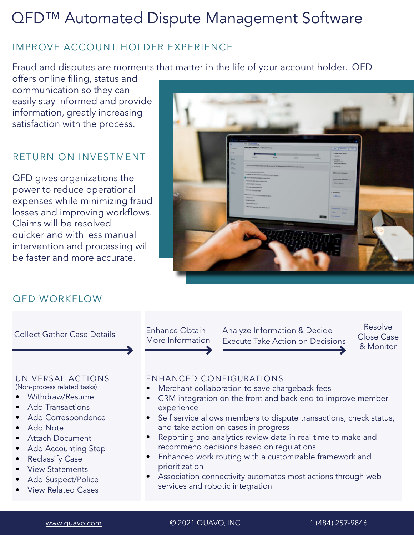# QFD™ Automated Dispute Management Software

#### IMPROVE ACCOUNT HOLDER EXPERIENCE

Fraud and disputes are moments that matter in the life of your account holder. QFD

offers online filing, status and communication so they can easily stay informed and provide information, greatly increasing satisfaction with the process.

#### RETURN ON INVESTMENT

QFD gives organizations the power to reduce operational expenses while minimizing fraud losses and improving workflows. Claims will be resolved quicker and with less manual intervention and processing will be faster and more accurate.



#### QFD WORKFLOW

ENHANCED CONFIGURATIONS Merchant collaboration to save chargeback fees • CRM integration on the front and back end to improve member experience • Self service allows members to dispute transactions, check status, and take action on cases in progress Reporting and analytics review data in real time to make and recommend decisions based on regulations • Enhanced work routing with a customizable framework and prioritization • Association connectivity automates most actions through web services and robotic integration Enhance Obtain More Information Analyze Information & Decide Execute Take Action on Decisions Resolve Close Case & Monitor Collect Gather Case Details UNIVERSAL ACTIONS (Non-process related tasks) • Withdraw/Resume • Add Transactions • Add Correspondence • Add Note • Attach Document • Add Accounting Step • Reclassify Case • View Statements • Add Suspect/Police • View Related Cases

[www.quavo.com](http://www.quavo.com) © 2021 QUAVO, INC. 1 (484) 257-9846